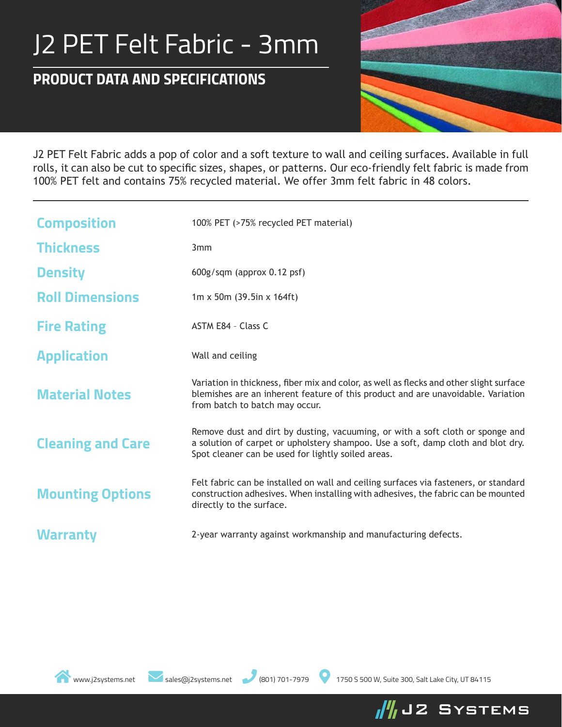## J2 PET Felt Fabric - 3mm

## *PRODUCT DATA AND SPECIFICATIONS*



J2 PET Felt Fabric adds a pop of color and a soft texture to wall and ceiling surfaces. Available in full rolls, it can also be cut to specific sizes, shapes, or patterns. Our eco-friendly felt fabric is made from 100% PET felt and contains 75% recycled material. We offer 3mm felt fabric in 48 colors.

| <b>Composition</b>       | 100% PET (>75% recycled PET material)                                                                                                                                                                                    |  |  |  |
|--------------------------|--------------------------------------------------------------------------------------------------------------------------------------------------------------------------------------------------------------------------|--|--|--|
| <b>Thickness</b>         | 3mm                                                                                                                                                                                                                      |  |  |  |
| <b>Density</b>           | $600g/sgm$ (approx 0.12 psf)                                                                                                                                                                                             |  |  |  |
| <b>Roll Dimensions</b>   | $1m \times 50m$ (39.5in x 164ft)                                                                                                                                                                                         |  |  |  |
| <b>Fire Rating</b>       | ASTM E84 - Class C                                                                                                                                                                                                       |  |  |  |
| <b>Application</b>       | Wall and ceiling                                                                                                                                                                                                         |  |  |  |
| <b>Material Notes</b>    | Variation in thickness, fiber mix and color, as well as flecks and other slight surface<br>blemishes are an inherent feature of this product and are unavoidable. Variation<br>from batch to batch may occur.            |  |  |  |
| <b>Cleaning and Care</b> | Remove dust and dirt by dusting, vacuuming, or with a soft cloth or sponge and<br>a solution of carpet or upholstery shampoo. Use a soft, damp cloth and blot dry.<br>Spot cleaner can be used for lightly soiled areas. |  |  |  |
| <b>Mounting Options</b>  | Felt fabric can be installed on wall and ceiling surfaces via fasteners, or standard<br>construction adhesives. When installing with adhesives, the fabric can be mounted<br>directly to the surface.                    |  |  |  |
| <b>Warranty</b>          | 2-year warranty against workmanship and manufacturing defects.                                                                                                                                                           |  |  |  |



www.j2systems.net sales@j2systems.net (801) 701-7979 1750 S 500 W, Suite 300, Salt Lake City, UT 84115